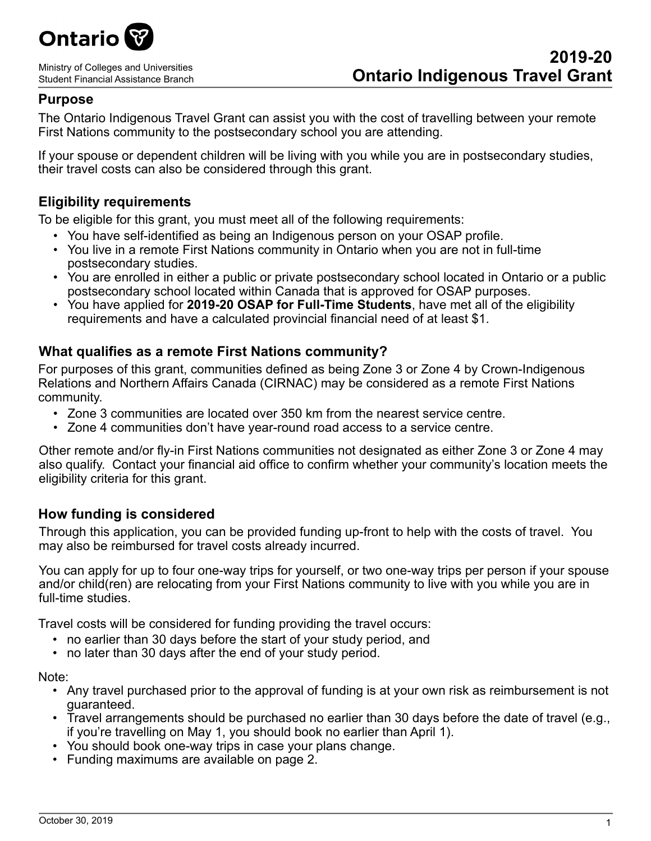

Ministry of Colleges and Universities Student Financial Assistance Branch

## **Purpose**

The Ontario Indigenous Travel Grant can assist you with the cost of travelling between your remote First Nations community to the postsecondary school you are attending.

If your spouse or dependent children will be living with you while you are in postsecondary studies, their travel costs can also be considered through this grant.

## **Eligibility requirements**

To be eligible for this grant, you must meet all of the following requirements:

- You have self-identified as being an Indigenous person on your OSAP profile.
- You live in a remote First Nations community in Ontario when you are not in full-time postsecondary studies.
- You are enrolled in either a public or private postsecondary school located in Ontario or a public postsecondary school located within Canada that is approved for OSAP purposes.
- You have applied for **2019-20 OSAP for Full-Time Students**, have met all of the eligibility requirements and have a calculated provincial financial need of at least \$1.

## **What qualifies as a remote First Nations community?**

For purposes of this grant, communities defined as being Zone 3 or Zone 4 by Crown-Indigenous Relations and Northern Affairs Canada (CIRNAC) may be considered as a remote First Nations community.

- Zone 3 communities are located over 350 km from the nearest service centre.
- Zone 4 communities don't have year-round road access to a service centre.

Other remote and/or fly-in First Nations communities not designated as either Zone 3 or Zone 4 may also qualify. Contact your financial aid office to confirm whether your community's location meets the eligibility criteria for this grant.

## **How funding is considered**

Through this application, you can be provided funding up-front to help with the costs of travel. You may also be reimbursed for travel costs already incurred.

You can apply for up to four one-way trips for yourself, or two one-way trips per person if your spouse and/or child(ren) are relocating from your First Nations community to live with you while you are in full-time studies.

Travel costs will be considered for funding providing the travel occurs:

- no earlier than 30 days before the start of your study period, and
- no later than 30 days after the end of your study period.

Note:

- Any travel purchased prior to the approval of funding is at your own risk as reimbursement is not guaranteed.
- Travel arrangements should be purchased no earlier than 30 days before the date of travel (e.g., if you're travelling on May 1, you should book no earlier than April 1).
- You should book one-way trips in case your plans change.
- Funding maximums are available on page 2.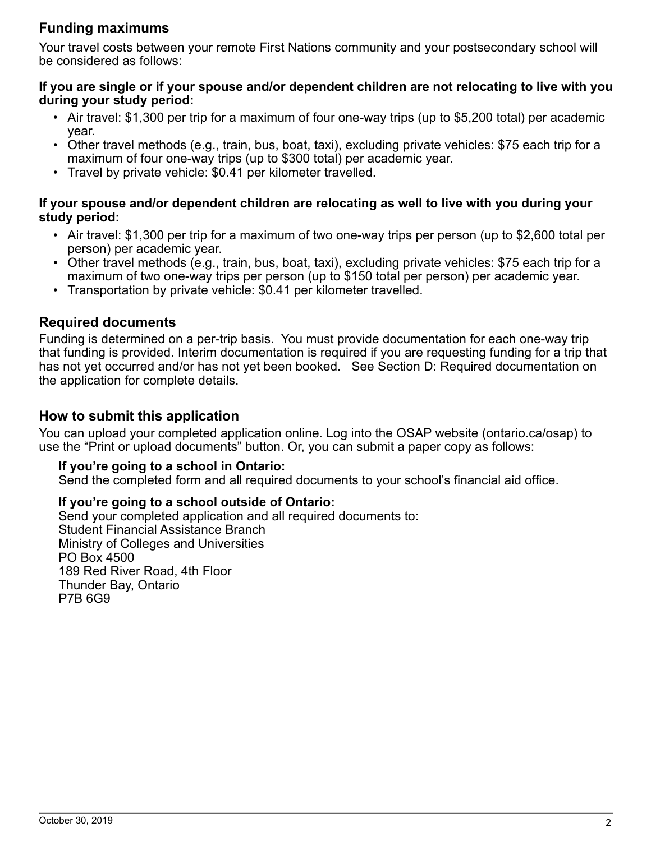## **Funding maximums**

Your travel costs between your remote First Nations community and your postsecondary school will be considered as follows:

### **If you are single or if your spouse and/or dependent children are not relocating to live with you during your study period:**

- Air travel: \$1,300 per trip for a maximum of four one-way trips (up to \$5,200 total) per academic year.
- Other travel methods (e.g., train, bus, boat, taxi), excluding private vehicles: \$75 each trip for a maximum of four one-way trips (up to \$300 total) per academic year.
- Travel by private vehicle: \$0.41 per kilometer travelled.

### **If your spouse and/or dependent children are relocating as well to live with you during your study period:**

- Air travel: \$1,300 per trip for a maximum of two one-way trips per person (up to \$2,600 total per person) per academic year.
- Other travel methods (e.g., train, bus, boat, taxi), excluding private vehicles: \$75 each trip for a maximum of two one-way trips per person (up to \$150 total per person) per academic year.
- Transportation by private vehicle: \$0.41 per kilometer travelled.

## **Required documents**

Funding is determined on a per-trip basis. You must provide documentation for each one-way trip that funding is provided. Interim documentation is required if you are requesting funding for a trip that has not yet occurred and/or has not yet been booked. See Section D: Required documentation on the application for complete details.

## **How to submit this application**

You can upload your completed application online. Log into the OSAP website (ontario.ca/osap) to use the "Print or upload documents" button. Or, you can submit a paper copy as follows:

## **If you're going to a school in Ontario:**

Send the completed form and all required documents to your school's financial aid office.

### **If you're going to a school outside of Ontario:**

Send your completed application and all required documents to: Student Financial Assistance Branch Ministry of Colleges and Universities PO Box 4500 189 Red River Road, 4th Floor Thunder Bay, Ontario P7B 6G9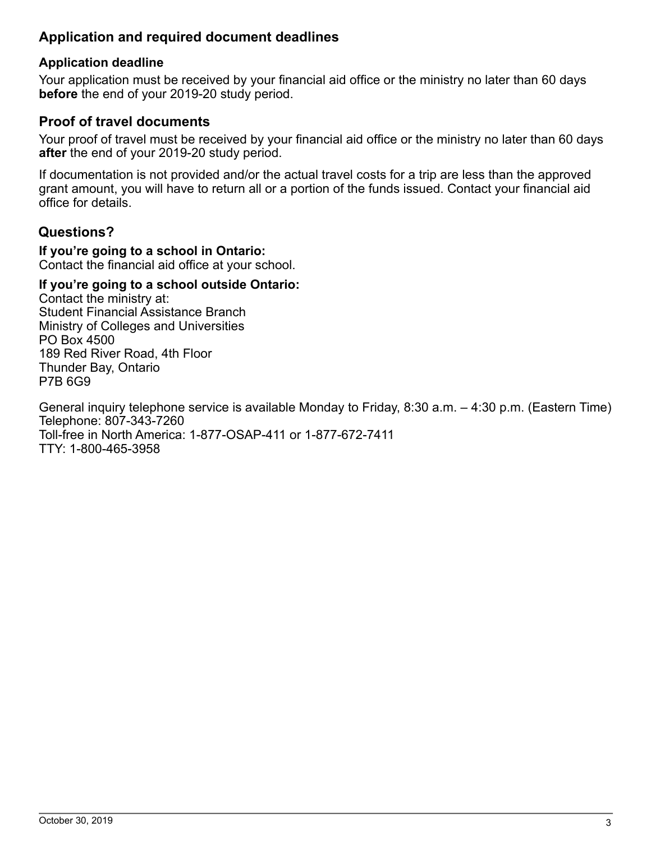## **Application and required document deadlines**

## **Application deadline**

Your application must be received by your financial aid office or the ministry no later than 60 days **before** the end of your 2019-20 study period.

## **Proof of travel documents**

Your proof of travel must be received by your financial aid office or the ministry no later than 60 days **after** the end of your 2019-20 study period.

If documentation is not provided and/or the actual travel costs for a trip are less than the approved grant amount, you will have to return all or a portion of the funds issued. Contact your financial aid office for details.

## **Questions?**

#### **If you're going to a school in Ontario:**  Contact the financial aid office at your school.

## **If you're going to a school outside Ontario:**

Contact the ministry at: Student Financial Assistance Branch Ministry of Colleges and Universities PO Box 4500 189 Red River Road, 4th Floor Thunder Bay, Ontario P7B 6G9

General inquiry telephone service is available Monday to Friday, 8:30 a.m. – 4:30 p.m. (Eastern Time) Telephone: 807-343-7260 Toll-free in North America: 1-877-OSAP-411 or 1-877-672-7411 TTY: 1-800-465-3958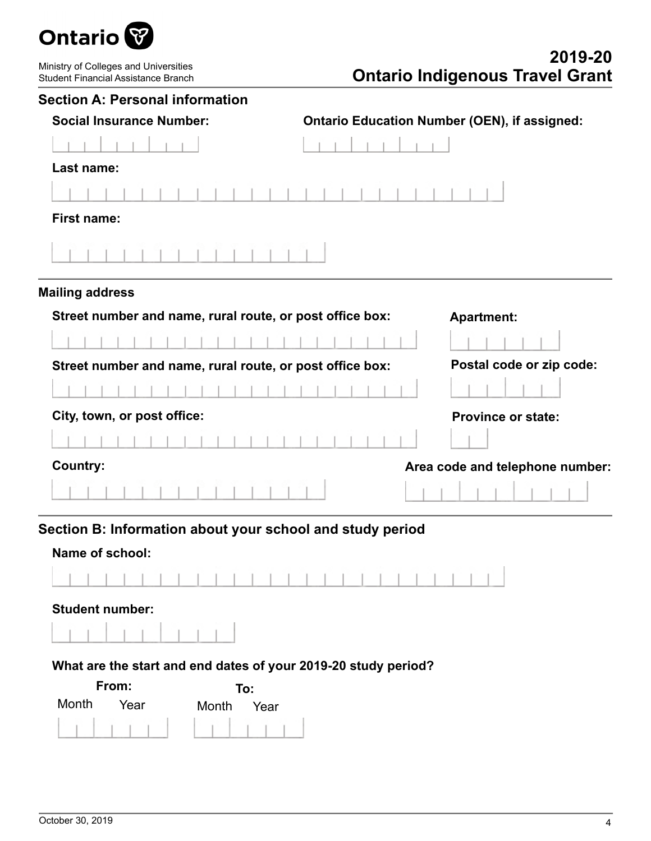

Ministry of Colleges and Universities Student Financial Assistance Branch

# **2019-20 Ontario Indigenous Travel Grant**

| <b>Section A: Personal information</b>                         |                                                     |
|----------------------------------------------------------------|-----------------------------------------------------|
| <b>Social Insurance Number:</b>                                | <b>Ontario Education Number (OEN), if assigned:</b> |
|                                                                |                                                     |
| Last name:                                                     |                                                     |
|                                                                |                                                     |
| <b>First name:</b>                                             |                                                     |
|                                                                |                                                     |
| <b>Mailing address</b>                                         |                                                     |
| Street number and name, rural route, or post office box:       | <b>Apartment:</b>                                   |
|                                                                |                                                     |
| Street number and name, rural route, or post office box:       | Postal code or zip code:                            |
|                                                                |                                                     |
| City, town, or post office:                                    | <b>Province or state:</b>                           |
|                                                                |                                                     |
| <b>Country:</b>                                                | Area code and telephone number:                     |
|                                                                |                                                     |
| Section B: Information about your school and study period      |                                                     |
| Name of school:                                                |                                                     |
|                                                                |                                                     |
| <b>Student number:</b>                                         |                                                     |
|                                                                |                                                     |
| What are the start and end dates of your 2019-20 study period? |                                                     |
| From:<br>To:                                                   |                                                     |
| Month<br>Year<br>Month<br>Year                                 |                                                     |
|                                                                |                                                     |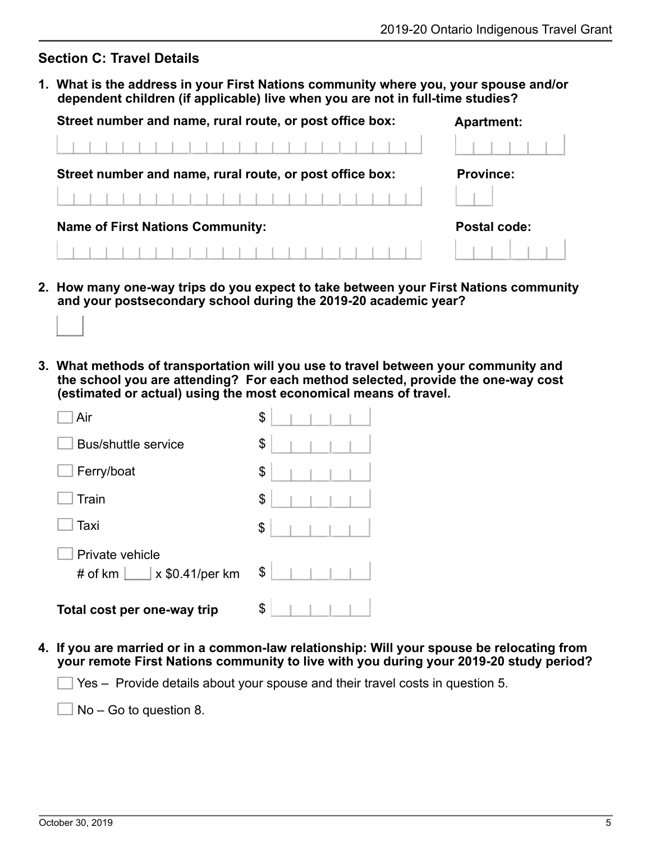### **Section C: Travel Details**

**1. What is the address in your First Nations community where you, your spouse and/or dependent children (if applicable) live when you are not in full-time studies?**

| Street number and name, rural route, or post office box: | <b>Apartment:</b> |  |  |  |
|----------------------------------------------------------|-------------------|--|--|--|
|                                                          |                   |  |  |  |
| Street number and name, rural route, or post office box: | <b>Province:</b>  |  |  |  |
|                                                          |                   |  |  |  |
| <b>Name of First Nations Community:</b>                  | Postal code:      |  |  |  |
|                                                          |                   |  |  |  |

- **2. How many one-way trips do you expect to take between your First Nations community and your postsecondary school during the 2019-20 academic year?**
- **3. What methods of transportation will you use to travel between your community and the school you are attending? For each method selected, provide the one-way cost (estimated or actual) using the most economical means of travel.**

| Air                                                              | \$ |
|------------------------------------------------------------------|----|
| <b>Bus/shuttle service</b>                                       | \$ |
| Ferry/boat                                                       | \$ |
| Train                                                            | \$ |
| Taxi                                                             | \$ |
| Private vehicle<br># of km $\boxed{\phantom{1}}$ x \$0.41/per km | \$ |
| Total cost per one-way trip                                      | \$ |

**4. If you are married or in a common-law relationship: Will your spouse be relocating from your remote First Nations community to live with you during your 2019-20 study period?**

 $\Box$  Yes – Provide details about your spouse and their travel costs in question 5.

 $\Box$  No – Go to question 8.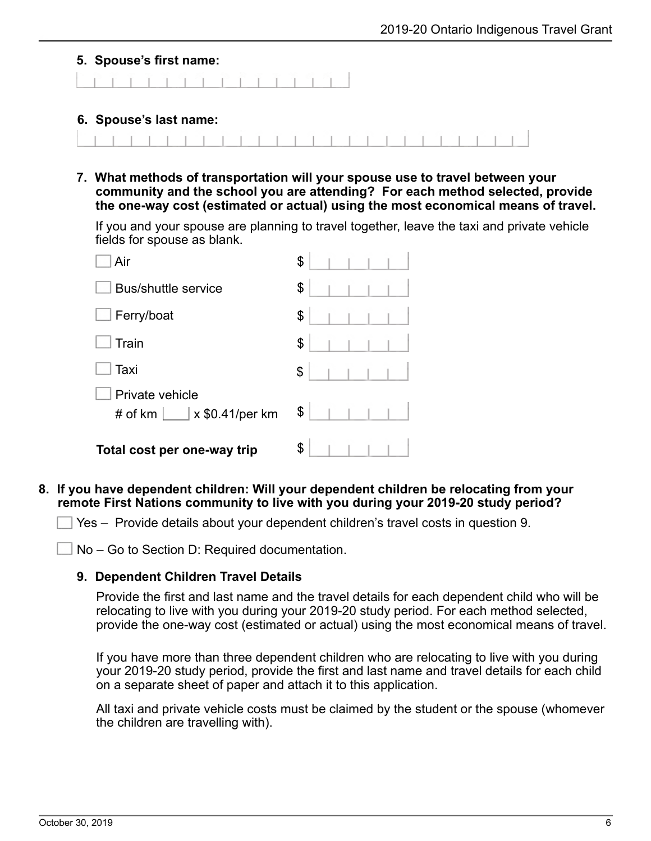#### **5. Spouse's first name:**

#### **6. Spouse's last name:**

**7. What methods of transportation will your spouse use to travel between your community and the school you are attending? For each method selected, provide the one-way cost (estimated or actual) using the most economical means of travel.**

If you and your spouse are planning to travel together, leave the taxi and private vehicle fields for spouse as blank.

| Air                                                          | \$ |
|--------------------------------------------------------------|----|
| <b>Bus/shuttle service</b>                                   | \$ |
| Ferry/boat                                                   | \$ |
| Train                                                        | \$ |
| Taxi                                                         | \$ |
| Private vehicle<br>$\vert$ x \$0.41/per km<br># of $km \mid$ | \$ |
| Total cost per one-way trip                                  | \$ |

#### **8. If you have dependent children: Will your dependent children be relocating from your remote First Nations community to live with you during your 2019-20 study period?**

Yes – Provide details about your dependent children's travel costs in question 9.

No – Go to Section D: Required documentation.

#### **9. Dependent Children Travel Details**

Provide the first and last name and the travel details for each dependent child who will be relocating to live with you during your 2019-20 study period. For each method selected, provide the one-way cost (estimated or actual) using the most economical means of travel.

If you have more than three dependent children who are relocating to live with you during your 2019-20 study period, provide the first and last name and travel details for each child on a separate sheet of paper and attach it to this application.

All taxi and private vehicle costs must be claimed by the student or the spouse (whomever the children are travelling with).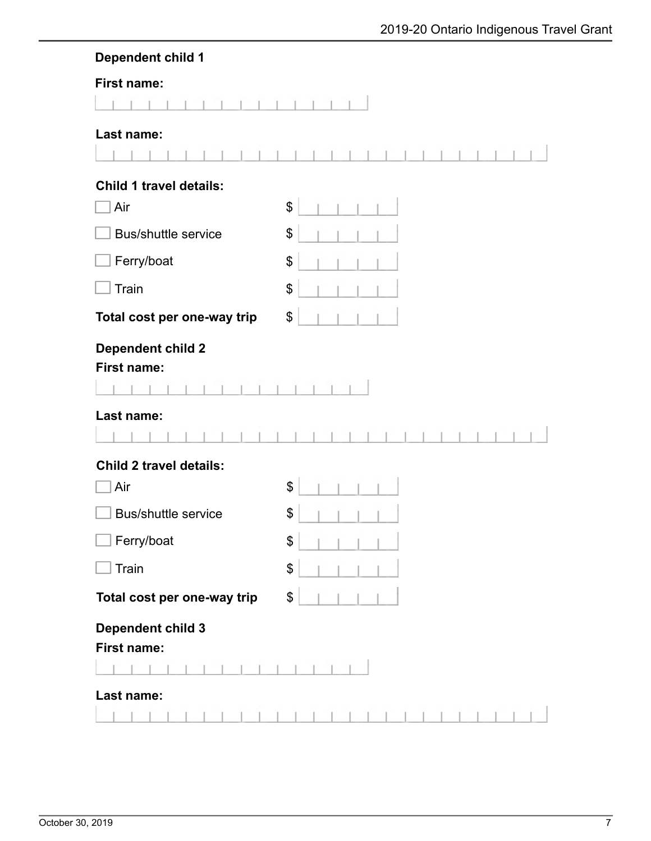| <b>Dependent child 1</b> |  |
|--------------------------|--|
|--------------------------|--|

| <b>First name:</b>                                           |                           |              |              |              |  |  |  |  |  |  |
|--------------------------------------------------------------|---------------------------|--------------|--------------|--------------|--|--|--|--|--|--|
|                                                              |                           |              |              |              |  |  |  |  |  |  |
| Last name:                                                   |                           |              |              |              |  |  |  |  |  |  |
| <b>Child 1 travel details:</b>                               |                           |              |              |              |  |  |  |  |  |  |
| Air                                                          | $\boldsymbol{\mathsf{S}}$ |              |              |              |  |  |  |  |  |  |
| <b>Bus/shuttle service</b>                                   | \$                        |              |              |              |  |  |  |  |  |  |
| Ferry/boat                                                   | \$                        |              |              |              |  |  |  |  |  |  |
| Train                                                        | \$                        |              |              |              |  |  |  |  |  |  |
| Total cost per one-way trip                                  | \$                        |              |              |              |  |  |  |  |  |  |
| <b>Dependent child 2</b><br><b>First name:</b><br>Last name: |                           |              |              |              |  |  |  |  |  |  |
| <b>Child 2 travel details:</b>                               |                           |              |              |              |  |  |  |  |  |  |
| Air                                                          | \$                        |              |              |              |  |  |  |  |  |  |
| <b>Bus/shuttle service</b>                                   | \$                        |              |              |              |  |  |  |  |  |  |
| $\Box$ Ferry/boat                                            | \$                        | $\mathbb{I}$ | $\mathbb{R}$ | $\mathbb{R}$ |  |  |  |  |  |  |
| Train                                                        | \$                        |              |              |              |  |  |  |  |  |  |
| Total cost per one-way trip                                  | $\mathfrak{S}$            |              |              |              |  |  |  |  |  |  |
| <b>Dependent child 3</b><br>First name:                      |                           |              |              |              |  |  |  |  |  |  |
| Last name:                                                   |                           |              |              |              |  |  |  |  |  |  |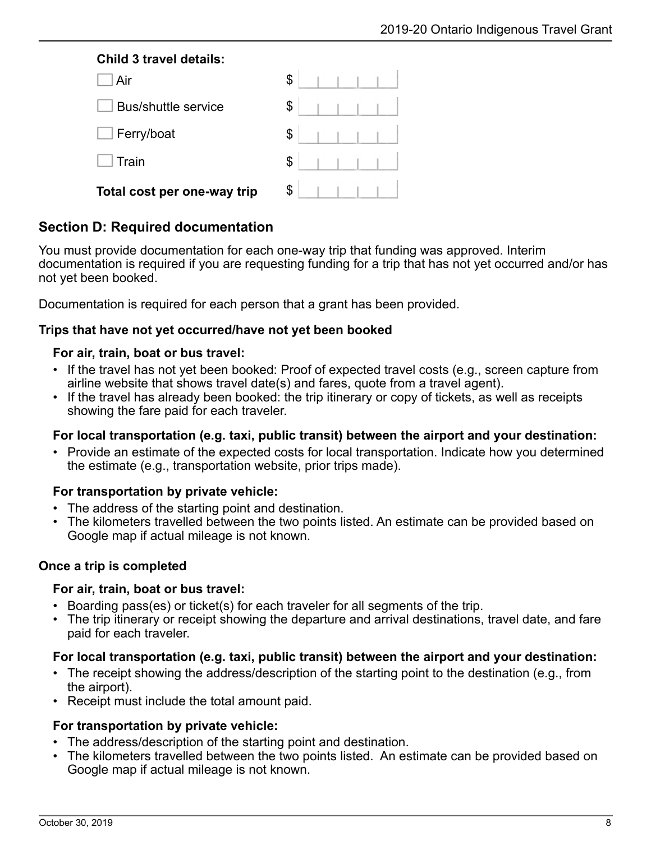### **Child 3 travel details:**

| Air                         | \$ |
|-----------------------------|----|
| <b>Bus/shuttle service</b>  | \$ |
| Ferry/boat                  | \$ |
| Train                       | \$ |
| Total cost per one-way trip | \$ |

## **Section D: Required documentation**

You must provide documentation for each one-way trip that funding was approved. Interim documentation is required if you are requesting funding for a trip that has not yet occurred and/or has not yet been booked.

Documentation is required for each person that a grant has been provided.

### **Trips that have not yet occurred/have not yet been booked**

### **For air, train, boat or bus travel:**

- If the travel has not yet been booked: Proof of expected travel costs (e.g., screen capture from airline website that shows travel date(s) and fares, quote from a travel agent).
- If the travel has already been booked: the trip itinerary or copy of tickets, as well as receipts showing the fare paid for each traveler.

### **For local transportation (e.g. taxi, public transit) between the airport and your destination:**

• Provide an estimate of the expected costs for local transportation. Indicate how you determined the estimate (e.g., transportation website, prior trips made).

### **For transportation by private vehicle:**

- The address of the starting point and destination.
- The kilometers travelled between the two points listed. An estimate can be provided based on Google map if actual mileage is not known.

### **Once a trip is completed**

### **For air, train, boat or bus travel:**

- Boarding pass(es) or ticket(s) for each traveler for all segments of the trip.
- The trip itinerary or receipt showing the departure and arrival destinations, travel date, and fare paid for each traveler.

### **For local transportation (e.g. taxi, public transit) between the airport and your destination:**

- The receipt showing the address/description of the starting point to the destination (e.g., from the airport).
- Receipt must include the total amount paid.

### **For transportation by private vehicle:**

- The address/description of the starting point and destination.
- The kilometers travelled between the two points listed. An estimate can be provided based on Google map if actual mileage is not known.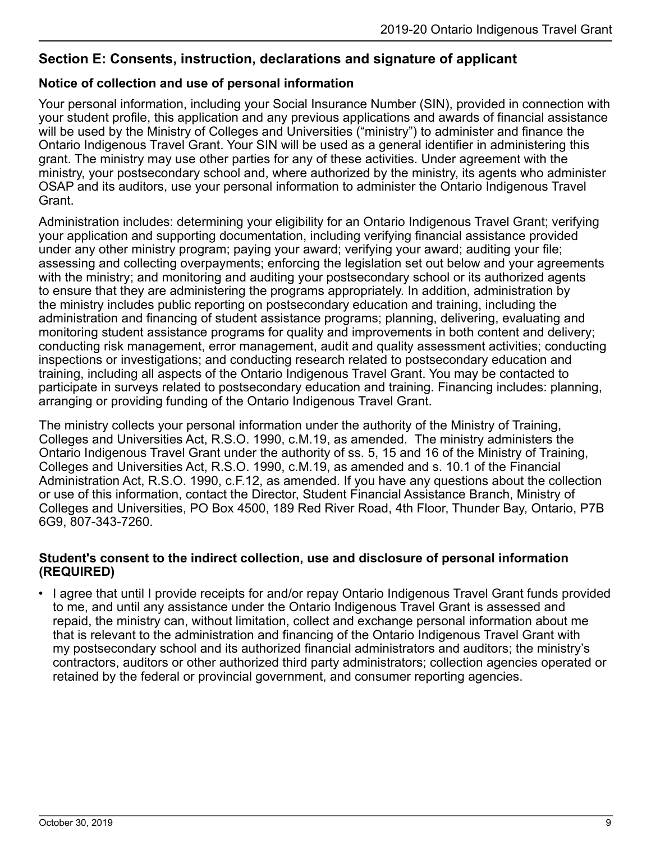## **Section E: Consents, instruction, declarations and signature of applicant**

## **Notice of collection and use of personal information**

Your personal information, including your Social Insurance Number (SIN), provided in connection with your student profile, this application and any previous applications and awards of financial assistance will be used by the Ministry of Colleges and Universities ("ministry") to administer and finance the Ontario Indigenous Travel Grant. Your SIN will be used as a general identifier in administering this grant. The ministry may use other parties for any of these activities. Under agreement with the ministry, your postsecondary school and, where authorized by the ministry, its agents who administer OSAP and its auditors, use your personal information to administer the Ontario Indigenous Travel Grant.

Administration includes: determining your eligibility for an Ontario Indigenous Travel Grant; verifying your application and supporting documentation, including verifying financial assistance provided under any other ministry program; paying your award; verifying your award; auditing your file; assessing and collecting overpayments; enforcing the legislation set out below and your agreements with the ministry; and monitoring and auditing your postsecondary school or its authorized agents to ensure that they are administering the programs appropriately. In addition, administration by the ministry includes public reporting on postsecondary education and training, including the administration and financing of student assistance programs; planning, delivering, evaluating and monitoring student assistance programs for quality and improvements in both content and delivery; conducting risk management, error management, audit and quality assessment activities; conducting inspections or investigations; and conducting research related to postsecondary education and training, including all aspects of the Ontario Indigenous Travel Grant. You may be contacted to participate in surveys related to postsecondary education and training. Financing includes: planning, arranging or providing funding of the Ontario Indigenous Travel Grant.

The ministry collects your personal information under the authority of the Ministry of Training, Colleges and Universities Act, R.S.O. 1990, c.M.19, as amended. The ministry administers the Ontario Indigenous Travel Grant under the authority of ss. 5, 15 and 16 of the Ministry of Training, Colleges and Universities Act, R.S.O. 1990, c.M.19, as amended and s. 10.1 of the Financial Administration Act, R.S.O. 1990, c.F.12, as amended. If you have any questions about the collection or use of this information, contact the Director, Student Financial Assistance Branch, Ministry of Colleges and Universities, PO Box 4500, 189 Red River Road, 4th Floor, Thunder Bay, Ontario, P7B 6G9, 807-343-7260.

### **Student's consent to the indirect collection, use and disclosure of personal information (REQUIRED)**

• I agree that until I provide receipts for and/or repay Ontario Indigenous Travel Grant funds provided to me, and until any assistance under the Ontario Indigenous Travel Grant is assessed and repaid, the ministry can, without limitation, collect and exchange personal information about me that is relevant to the administration and financing of the Ontario Indigenous Travel Grant with my postsecondary school and its authorized financial administrators and auditors; the ministry's contractors, auditors or other authorized third party administrators; collection agencies operated or retained by the federal or provincial government, and consumer reporting agencies.